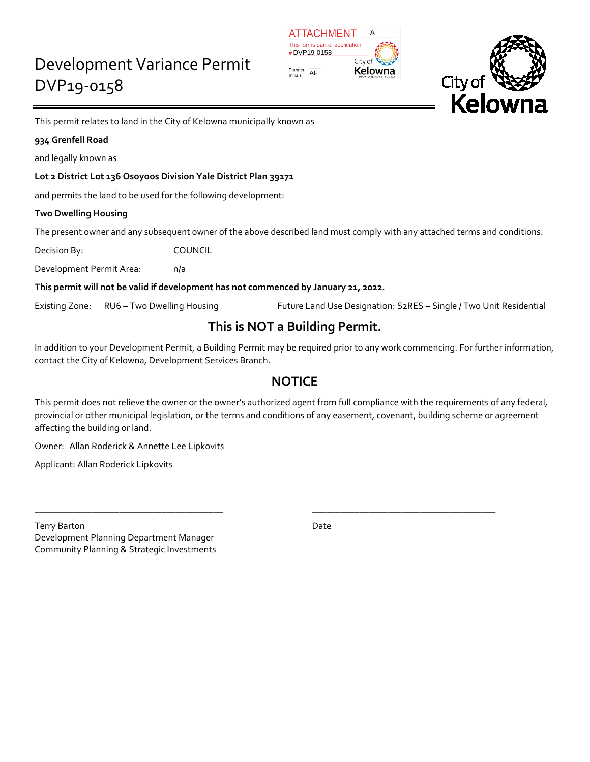| <b>IATTACHMENT</b>             |                                 |  |
|--------------------------------|---------------------------------|--|
| This forms part of application |                                 |  |
| #DVP19-0158                    |                                 |  |
| City of                        |                                 |  |
| Planner<br>Initials            | Kelowna<br>DEVELOPMENT PLANNING |  |



This permit relates to land in the City of Kelowna municipally known as

### **934 Grenfell Road**

and legally known as

### **Lot 2 District Lot 136 Osoyoos Division Yale District Plan 39171**

and permits the land to be used for the following development:

### **Two Dwelling Housing**

The present owner and any subsequent owner of the above described land must comply with any attached terms and conditions.

Decision By: COUNCIL

Development Permit Area: n/a

**This permit will not be valid if development has not commenced by January 21, 2022.**

Existing Zone: RU6 – Two Dwelling Housing Future Land Use Designation: S2RES – Single / Two Unit Residential

# **This is NOT a Building Permit.**

In addition to your Development Permit, a Building Permit may be required prior to any work commencing. For further information, contact the City of Kelowna, Development Services Branch.

# **NOTICE**

This permit does not relieve the owner or the owner's authorized agent from full compliance with the requirements of any federal, provincial or other municipal legislation, or the terms and conditions of any easement, covenant, building scheme or agreement affecting the building or land.

\_\_\_\_\_\_\_\_\_\_\_\_\_\_\_\_\_\_\_\_\_\_\_\_\_\_\_\_\_\_\_\_\_\_\_\_\_\_\_\_ \_\_\_\_\_\_\_\_\_\_\_\_\_\_\_\_\_\_\_\_\_\_\_\_\_\_\_\_\_\_\_\_\_\_\_\_\_\_\_

Owner: Allan Roderick & Annette Lee Lipkovits

Applicant: Allan Roderick Lipkovits

Terry Barton Date **Date** Development Planning Department Manager Community Planning & Strategic Investments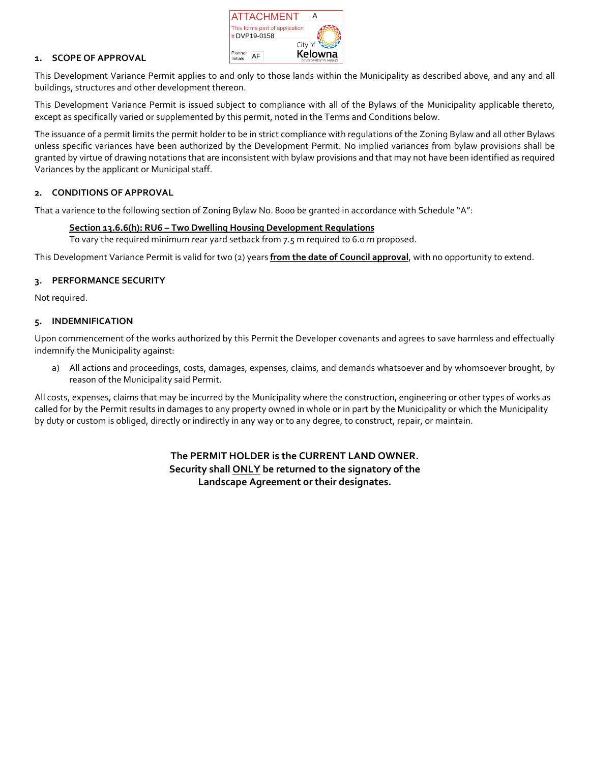

### **1. SCOPE OF APPROVAL**

This Development Variance Permit applies to and only to those lands within the Municipality as described above, and any and all buildings, structures and other development thereon.

This Development Variance Permit is issued subject to compliance with all of the Bylaws of the Municipality applicable thereto, except as specifically varied or supplemented by this permit, noted in the Terms and Conditions below.

The issuance of a permit limits the permit holder to be in strict compliance with regulations of the Zoning Bylaw and all other Bylaws unless specific variances have been authorized by the Development Permit. No implied variances from bylaw provisions shall be granted by virtue of drawing notations that are inconsistent with bylaw provisions and that may not have been identified as required Variances by the applicant or Municipal staff.

### **2. CONDITIONS OF APPROVAL**

That a varience to the following section of Zoning Bylaw No. 8000 be granted in accordance with Schedule "A":

### **Section 13.6.6(h): RU6 – Two Dwelling Housing Development Regulations**

To vary the required minimum rear yard setback from 7.5 m required to 6.0 m proposed.

This Development Variance Permit is valid for two (2) years **from the date of Council approval**, with no opportunity to extend.

### **3. PERFORMANCE SECURITY**

Not required.

### **5. INDEMNIFICATION**

Upon commencement of the works authorized by this Permit the Developer covenants and agrees to save harmless and effectually indemnify the Municipality against:

a) All actions and proceedings, costs, damages, expenses, claims, and demands whatsoever and by whomsoever brought, by reason of the Municipality said Permit.

All costs, expenses, claims that may be incurred by the Municipality where the construction, engineering or other types of works as called for by the Permit results in damages to any property owned in whole or in part by the Municipality or which the Municipality by duty or custom is obliged, directly or indirectly in any way or to any degree, to construct, repair, or maintain.

> **The PERMIT HOLDER is the CURRENT LAND OWNER. Security shall ONLY be returned to the signatory of the Landscape Agreement or their designates.**